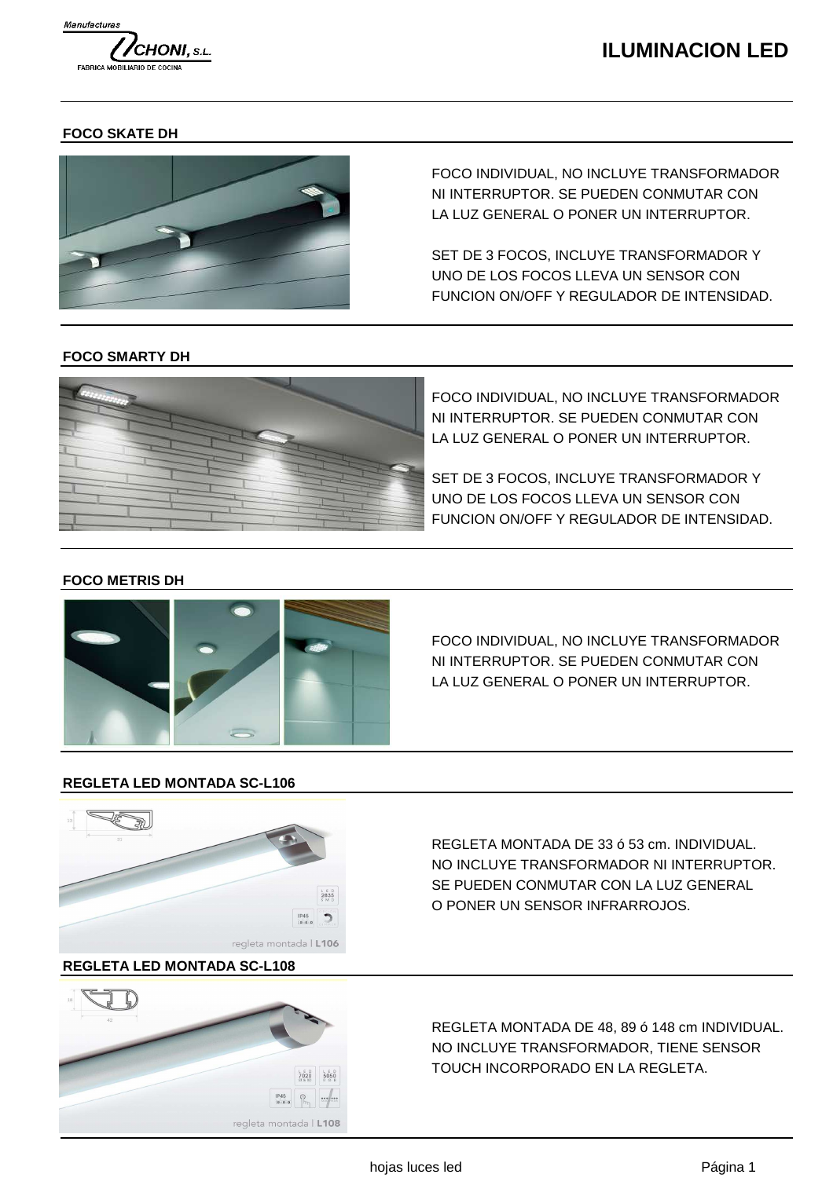

# **ILUMINACION LED**

## **FOCO SKATE DH**



FOCO INDIVIDUAL, NO INCLUYE TRANSFORMADOR NI INTERRUPTOR. SE PUEDEN CONMUTAR CON LA LUZ GENERAL O PONER UN INTERRUPTOR.

SET DE 3 FOCOS, INCLUYE TRANSFORMADOR Y UNO DE LOS FOCOS LLEVA UN SENSOR CON FUNCION ON/OFF Y REGULADOR DE INTENSIDAD.

## **FOCO SMARTY DH**



FOCO INDIVIDUAL, NO INCLUYE TRANSFORMADOR NI INTERRUPTOR. SE PUEDEN CONMUTAR CON LA LUZ GENERAL O PONER UN INTERRUPTOR.

SET DE 3 FOCOS, INCLUYE TRANSFORMADOR Y UNO DE LOS FOCOS LLEVA UN SENSOR CON FUNCION ON/OFF Y REGULADOR DE INTENSIDAD.

# **FOCO METRIS DH**



FOCO INDIVIDUAL, NO INCLUYE TRANSFORMADOR NI INTERRUPTOR. SE PUEDEN CONMUTAR CON LA LUZ GENERAL O PONER UN INTERRUPTOR.

#### **REGLETA LED MONTADA SC-L106**



# **REGLETA LED MONTADA SC-L108**



REGLETA MONTADA DE 33 ó 53 cm. INDIVIDUAL. NO INCLUYE TRANSFORMADOR NI INTERRUPTOR. SE PUEDEN CONMUTAR CON LA LUZ GENERAL O PONER UN SENSOR INFRARROJOS.

REGLETA MONTADA DE 48, 89 ó 148 cm INDIVIDUAL. NO INCLUYE TRANSFORMADOR, TIENE SENSOR TOUCH INCORPORADO EN LA REGLETA.